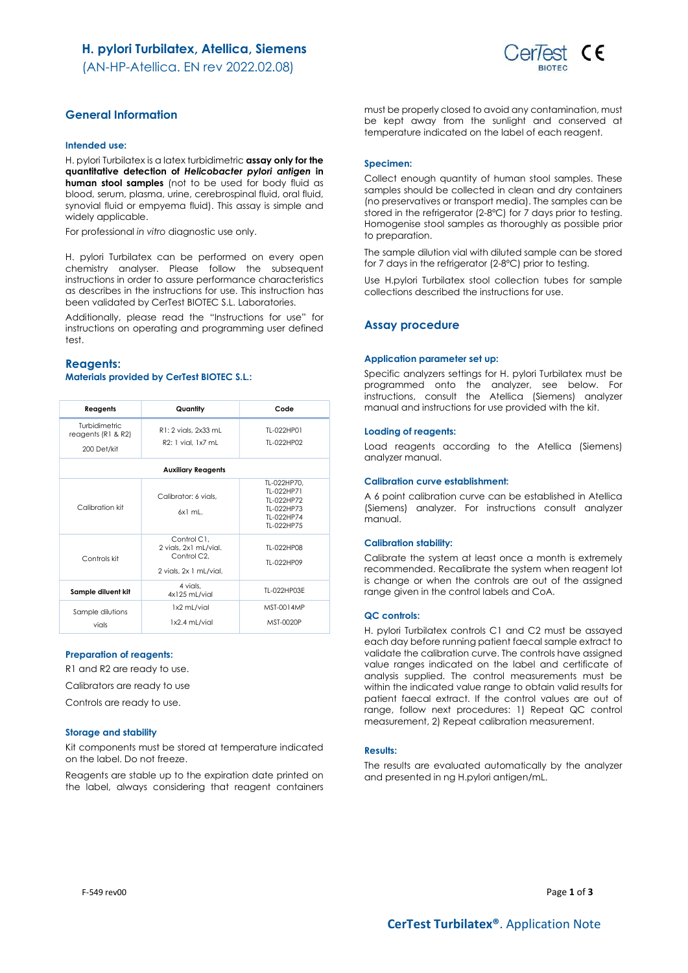## H. pylori Turbilatex, Atellica, Siemens

(AN-HP-Atellica. EN rev 2022.02.08)



## General Information

## Intended use:

H. pylori Turbilatex is a latex turbidimetric assay only for the quantitative detection of Helicobacter pylori antigen in human stool samples (not to be used for body fluid as blood, serum, plasma, urine, cerebrospinal fluid, oral fluid, synovial fluid or empyema fluid). This assay is simple and widely applicable.

For professional in vitro diagnostic use only.

H. pylori Turbilatex can be performed on every open chemistry analyser. Please follow the subsequent instructions in order to assure performance characteristics as describes in the instructions for use. This instruction has been validated by CerTest BIOTEC S.L. Laboratories.

Additionally, please read the "Instructions for use" for instructions on operating and programming user defined test.

### Reagents: Materials provided by CerTest BIOTEC S.L.:

| Reagents                                           | Quantity                                                                                   | Code                                                                              |  |  |
|----------------------------------------------------|--------------------------------------------------------------------------------------------|-----------------------------------------------------------------------------------|--|--|
| Turbidimetric<br>reagents (R1 & R2)<br>200 Det/kit | R1: 2 vials, 2x33 mL<br>R2: 1 vial, 1x7 mL                                                 | TI-022HP01<br>TI-022HP02                                                          |  |  |
| <b>Auxiliary Reagents</b>                          |                                                                                            |                                                                                   |  |  |
| Calibration kit                                    | Calibrator: 6 vials,<br>$6x1$ ml.                                                          | TL-022HP70.<br>TI-022HP71<br>TI-022HP72<br>TL-022HP73<br>TI-022HP74<br>TI-022HP75 |  |  |
| Controls kit                                       | Control C1,<br>2 vials, 2x1 mL/vial.<br>Control C <sub>2</sub> .<br>2 vials, 2x 1 mL/vial. | TI-022HP08<br>TI-022HP09                                                          |  |  |
| Sample diluent kit                                 | 4 vials.<br>4x125 mL/vial                                                                  | TI-022HP03F                                                                       |  |  |
| Sample dilutions<br>vials                          | 1x2 mL/vial<br>1x2.4 mL/vial                                                               | MST-0014MP<br>MST-0020P                                                           |  |  |

### Preparation of reagents:

R1 and R2 are ready to use.

Calibrators are ready to use

Controls are ready to use.

#### Storage and stability

Kit components must be stored at temperature indicated on the label. Do not freeze.

Reagents are stable up to the expiration date printed on the label, always considering that reagent containers must be properly closed to avoid any contamination, must be kept away from the sunlight and conserved at temperature indicated on the label of each reagent.

### Specimen:

Collect enough quantity of human stool samples. These samples should be collected in clean and dry containers (no preservatives or transport media). The samples can be stored in the refrigerator (2-8ºC) for 7 days prior to testing. Homogenise stool samples as thoroughly as possible prior to preparation.

The sample dilution vial with diluted sample can be stored for 7 days in the refrigerator (2-8ºC) prior to testing.

Use H.pylori Turbilatex stool collection tubes for sample collections described the instructions for use.

### Assay procedure

#### Application parameter set up:

Specific analyzers settings for H. pylori Turbilatex must be programmed onto the analyzer, see below. For instructions, consult the Atellica (Siemens) analyzer manual and instructions for use provided with the kit.

#### Loading of reagents:

Load reagents according to the Atellica (Siemens) analyzer manual.

#### Calibration curve establishment:

A 6 point calibration curve can be established in Atellica (Siemens) analyzer. For instructions consult analyzer manual.

#### Calibration stability:

Calibrate the system at least once a month is extremely recommended. Recalibrate the system when reagent lot is change or when the controls are out of the assigned range given in the control labels and CoA.

### QC controls:

H. pylori Turbilatex controls C1 and C2 must be assayed each day before running patient faecal sample extract to validate the calibration curve. The controls have assigned value ranges indicated on the label and certificate of analysis supplied. The control measurements must be within the indicated value range to obtain valid results for patient faecal extract. If the control values are out of range, follow next procedures: 1) Repeat QC control measurement, 2) Repeat calibration measurement.

### Results:

The results are evaluated automatically by the analyzer and presented in ng H.pylori antigen/mL.

F-549 rev00 Page  $1$  of  $3$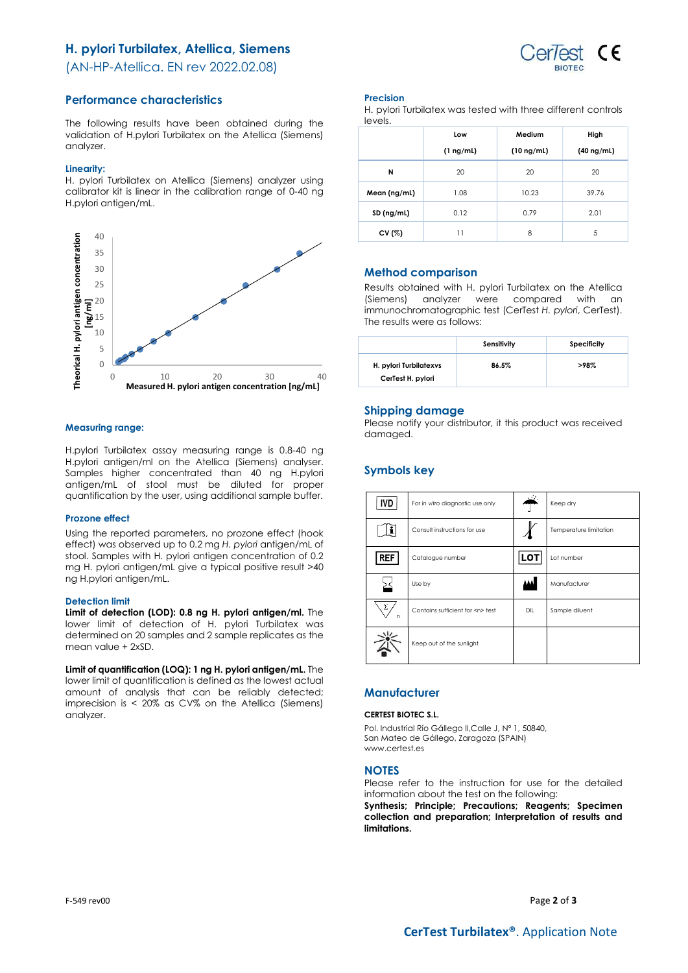# H. pylori Turbilatex, Atellica, Siemens



(AN-HP-Atellica. EN rev 2022.02.08)

## Performance characteristics

The following results have been obtained during the validation of H.pylori Turbilatex on the Atellica (Siemens) analyzer.

### Linearity:

H. pylori Turbilatex on Atellica (Siemens) analyzer using calibrator kit is linear in the calibration range of 0-40 ng H.pylori antigen/mL.



## Measuring range:

H.pylori Turbilatex assay measuring range is 0.8-40 ng H.pylori antigen/ml on the Atellica (Siemens) analyser. Samples higher concentrated than 40 ng H.pylori antigen/mL of stool must be diluted for proper quantification by the user, using additional sample buffer.

## Prozone effect

Using the reported parameters, no prozone effect (hook effect) was observed up to 0.2 mg H. pylori antigen/mL of stool. Samples with H. pylori antigen concentration of 0.2 mg H. pylori antigen/mL give a typical positive result >40 ng H.pylori antigen/mL.

## Detection limit

Limit of detection (LOD): 0.8 ng H. pylori antigen/ml. The lower limit of detection of H. pylori Turbilatex was determined on 20 samples and 2 sample replicates as the mean value + 2xSD.

Limit of quantification (LOQ): 1 ng H. pylori antigen/mL. The lower limit of quantification is defined as the lowest actual amount of analysis that can be reliably detected; imprecision is < 20% as CV% on the Atellica (Siemens) analyzer.

## Precision

H. pylori Turbilatex was tested with three different controls levels.

|              | Low            | Medium          | High            |
|--------------|----------------|-----------------|-----------------|
|              | $(1 \nmid mL)$ | $(10 \nmid mL)$ | $(40 \nmid mL)$ |
| N            | 20             | 20              | 20              |
| Mean (ng/mL) | 1.08           | 10.23           | 39.76           |
| SD (ng/ml)   | 0.12           | 0.79            | 2.01            |
| CV $(%)$     | 11             | 8               | 5               |

## Method comparison

Results obtained with H. pylori Turbilatex on the Atellica (Siemens) analyzer were compared with an immunochromatographic test (CerTest H. pylori, CerTest). The results were as follows:

|                                             | Sensitivity | Specificity |
|---------------------------------------------|-------------|-------------|
| H. pylori Turbilatexys<br>CerTest H. pylori | 86.5%       | >98%        |

## Shipping damage

Please notify your distributor, it this product was received damaged.

# Symbols key

| <b>IVD</b>      | For in vitro diagnostic use only     | والمطلط | Keep dry               |
|-----------------|--------------------------------------|---------|------------------------|
|                 | Consult instructions for use         |         | Temperature limitation |
| REF             | Catalogue number                     | LOT     | Lot number             |
|                 | Use by                               |         | Manufacturer           |
| Σ<br>$\sqrt{ }$ | Contains sufficient for <n> test</n> | DIL     | Sample diluent         |
|                 | Keep out of the sunlight             |         |                        |

## **Manufacturer**

### CERTEST BIOTEC S.L.

Pol. Industrial Río Gállego II,Calle J, Nº 1, 50840, San Mateo de Gállego, Zaragoza (SPAIN) www.certest.es

## **NOTES**

Please refer to the instruction for use for the detailed information about the test on the following:

Synthesis; Principle; Precautions; Reagents; Specimen collection and preparation; Interpretation of results and limitations.